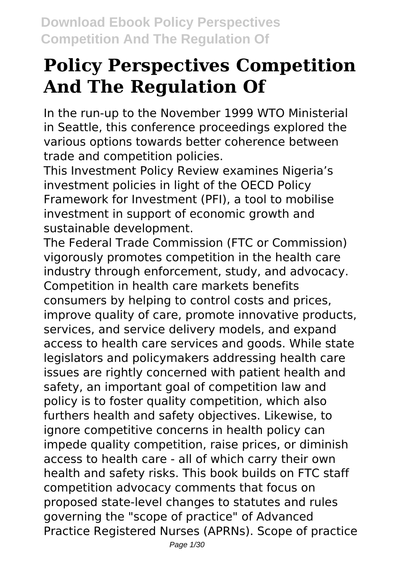# **Policy Perspectives Competition And The Regulation Of**

In the run-up to the November 1999 WTO Ministerial in Seattle, this conference proceedings explored the various options towards better coherence between trade and competition policies.

This Investment Policy Review examines Nigeria's investment policies in light of the OECD Policy Framework for Investment (PFI), a tool to mobilise investment in support of economic growth and sustainable development.

The Federal Trade Commission (FTC or Commission) vigorously promotes competition in the health care industry through enforcement, study, and advocacy. Competition in health care markets benefits consumers by helping to control costs and prices, improve quality of care, promote innovative products, services, and service delivery models, and expand access to health care services and goods. While state legislators and policymakers addressing health care issues are rightly concerned with patient health and safety, an important goal of competition law and policy is to foster quality competition, which also furthers health and safety objectives. Likewise, to ignore competitive concerns in health policy can impede quality competition, raise prices, or diminish access to health care - all of which carry their own health and safety risks. This book builds on FTC staff competition advocacy comments that focus on proposed state-level changes to statutes and rules governing the "scope of practice" of Advanced Practice Registered Nurses (APRNs). Scope of practice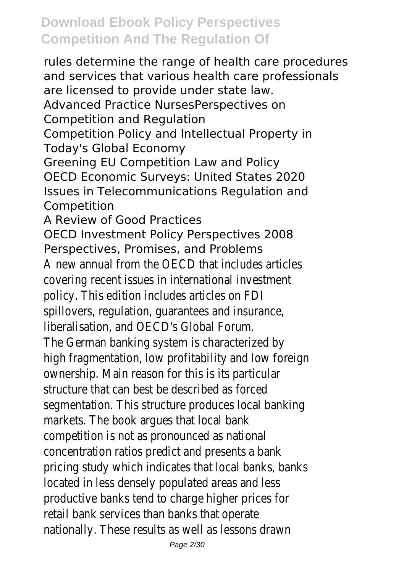rules determine the range of health care procedures and services that various health care professionals are licensed to provide under state law. Advanced Practice NursesPerspectives on Competition and Regulation Competition Policy and Intellectual Property in Today's Global Economy Greening EU Competition Law and Policy OECD Economic Surveys: United States 2020 Issues in Telecommunications Regulation and Competition A Review of Good Practices OECD Investment Policy Perspectives 2008 Perspectives, Promises, and Problems A new annual from the OECD that includes articles covering recent issues in international investment policy. This edition includes articles on FDI spillovers, regulation, guarantees and insurance, liberalisation, and OECD's Global Forum. The German banking system is characterized by high fragmentation, low profitability and low foreign ownership. Main reason for this is its particular structure that can best be described as forced segmentation. This structure produces local banking markets. The book argues that local bank competition is not as pronounced as national concentration ratios predict and presents a bank pricing study which indicates that local banks, banks located in less densely populated areas and less productive banks tend to charge higher prices for retail bank services than banks that operate nationally. These results as well as lessons drawn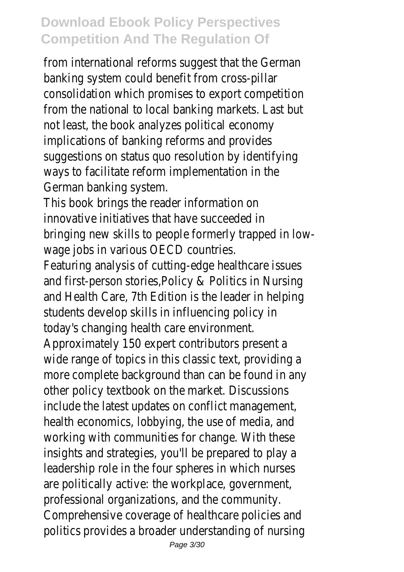from international reforms suggest that the German banking system could benefit from cross-pillar consolidation which promises to export competition from the national to local banking markets. Last but not least, the book analyzes political economy implications of banking reforms and provides suggestions on status quo resolution by identifying ways to facilitate reform implementation in the German banking system.

This book brings the reader information on innovative initiatives that have succeeded in bringing new skills to people formerly trapped in lowwage jobs in various OECD countries.

Featuring analysis of cutting-edge healthcare issues and first-person stories,Policy & Politics in Nursing and Health Care, 7th Edition is the leader in helping students develop skills in influencing policy in today's changing health care environment.

Approximately 150 expert contributors present a wide range of topics in this classic text, providing a more complete background than can be found in any other policy textbook on the market. Discussions include the latest updates on conflict management, health economics, lobbying, the use of media, and working with communities for change. With these insights and strategies, you'll be prepared to play a leadership role in the four spheres in which nurses are politically active: the workplace, government, professional organizations, and the community. Comprehensive coverage of healthcare policies and politics provides a broader understanding of nursing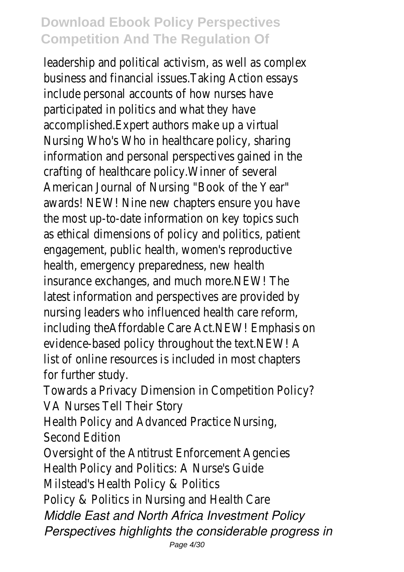leadership and political activism, as well as complex business and financial issues.Taking Action essays include personal accounts of how nurses have participated in politics and what they have accomplished.Expert authors make up a virtual Nursing Who's Who in healthcare policy, sharing information and personal perspectives gained in the crafting of healthcare policy.Winner of several American Journal of Nursing "Book of the Year" awards! NEW! Nine new chapters ensure you have the most up-to-date information on key topics such as ethical dimensions of policy and politics, patient engagement, public health, women's reproductive health, emergency preparedness, new health insurance exchanges, and much more.NEW! The latest information and perspectives are provided by nursing leaders who influenced health care reform, including theAffordable Care Act.NEW! Emphasis on evidence-based policy throughout the text.NEW! A list of online resources is included in most chapters for further study.

Towards a Privacy Dimension in Competition Policy? VA Nurses Tell Their Story

Health Policy and Advanced Practice Nursing,

Second Edition

Oversight of the Antitrust Enforcement Agencies Health Policy and Politics: A Nurse's Guide Milstead's Health Policy & Politics

Policy & Politics in Nursing and Health Care *Middle East and North Africa Investment Policy Perspectives highlights the considerable progress in*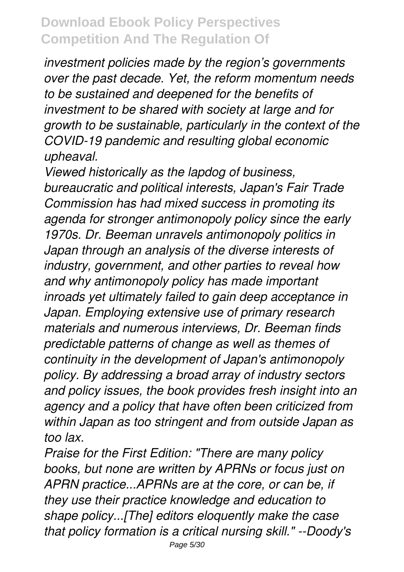*investment policies made by the region's governments over the past decade. Yet, the reform momentum needs to be sustained and deepened for the benefits of investment to be shared with society at large and for growth to be sustainable, particularly in the context of the COVID-19 pandemic and resulting global economic upheaval.*

*Viewed historically as the lapdog of business, bureaucratic and political interests, Japan's Fair Trade Commission has had mixed success in promoting its agenda for stronger antimonopoly policy since the early 1970s. Dr. Beeman unravels antimonopoly politics in Japan through an analysis of the diverse interests of industry, government, and other parties to reveal how and why antimonopoly policy has made important inroads yet ultimately failed to gain deep acceptance in Japan. Employing extensive use of primary research materials and numerous interviews, Dr. Beeman finds predictable patterns of change as well as themes of continuity in the development of Japan's antimonopoly policy. By addressing a broad array of industry sectors and policy issues, the book provides fresh insight into an agency and a policy that have often been criticized from within Japan as too stringent and from outside Japan as too lax.*

*Praise for the First Edition: "There are many policy books, but none are written by APRNs or focus just on APRN practice...APRNs are at the core, or can be, if they use their practice knowledge and education to shape policy...[The] editors eloquently make the case that policy formation is a critical nursing skill." --Doody's*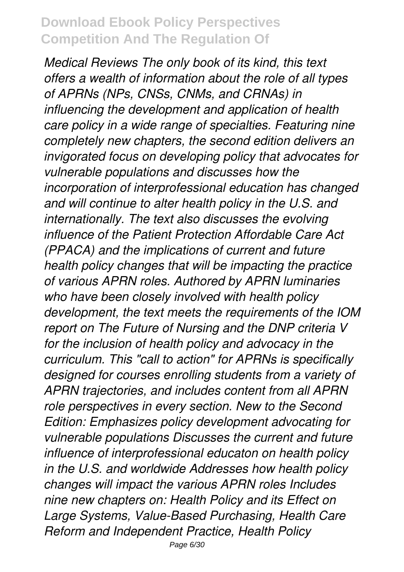*Medical Reviews The only book of its kind, this text offers a wealth of information about the role of all types of APRNs (NPs, CNSs, CNMs, and CRNAs) in influencing the development and application of health care policy in a wide range of specialties. Featuring nine completely new chapters, the second edition delivers an invigorated focus on developing policy that advocates for vulnerable populations and discusses how the incorporation of interprofessional education has changed and will continue to alter health policy in the U.S. and internationally. The text also discusses the evolving influence of the Patient Protection Affordable Care Act (PPACA) and the implications of current and future health policy changes that will be impacting the practice of various APRN roles. Authored by APRN luminaries who have been closely involved with health policy development, the text meets the requirements of the IOM report on The Future of Nursing and the DNP criteria V for the inclusion of health policy and advocacy in the curriculum. This "call to action" for APRNs is specifically designed for courses enrolling students from a variety of APRN trajectories, and includes content from all APRN role perspectives in every section. New to the Second Edition: Emphasizes policy development advocating for vulnerable populations Discusses the current and future influence of interprofessional educaton on health policy in the U.S. and worldwide Addresses how health policy changes will impact the various APRN roles Includes nine new chapters on: Health Policy and its Effect on Large Systems, Value-Based Purchasing, Health Care Reform and Independent Practice, Health Policy*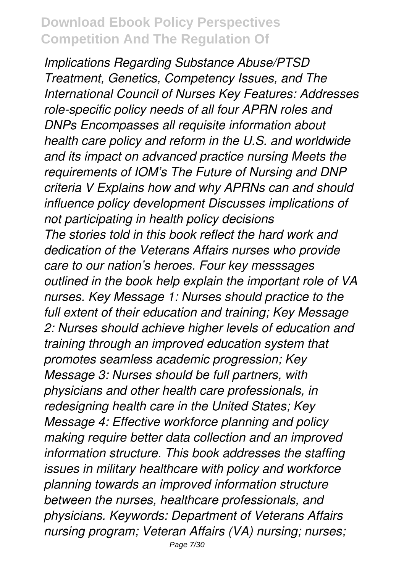*Implications Regarding Substance Abuse/PTSD Treatment, Genetics, Competency Issues, and The International Council of Nurses Key Features: Addresses role-specific policy needs of all four APRN roles and DNPs Encompasses all requisite information about health care policy and reform in the U.S. and worldwide and its impact on advanced practice nursing Meets the requirements of IOM's The Future of Nursing and DNP criteria V Explains how and why APRNs can and should influence policy development Discusses implications of not participating in health policy decisions The stories told in this book reflect the hard work and dedication of the Veterans Affairs nurses who provide care to our nation's heroes. Four key messsages outlined in the book help explain the important role of VA nurses. Key Message 1: Nurses should practice to the full extent of their education and training; Key Message 2: Nurses should achieve higher levels of education and training through an improved education system that promotes seamless academic progression; Key Message 3: Nurses should be full partners, with physicians and other health care professionals, in redesigning health care in the United States; Key Message 4: Effective workforce planning and policy making require better data collection and an improved information structure. This book addresses the staffing issues in military healthcare with policy and workforce planning towards an improved information structure between the nurses, healthcare professionals, and physicians. Keywords: Department of Veterans Affairs nursing program; Veteran Affairs (VA) nursing; nurses;*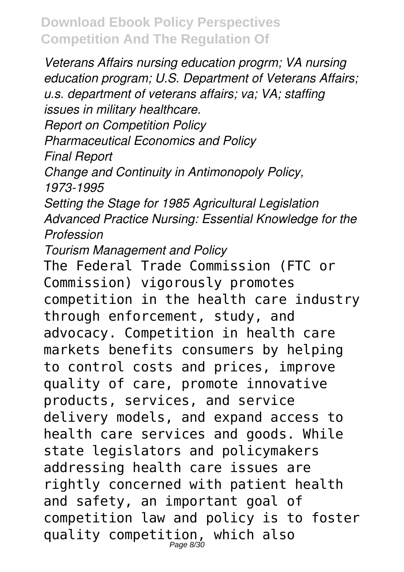*Veterans Affairs nursing education progrm; VA nursing education program; U.S. Department of Veterans Affairs; u.s. department of veterans affairs; va; VA; staffing issues in military healthcare. Report on Competition Policy Pharmaceutical Economics and Policy Final Report Change and Continuity in Antimonopoly Policy, 1973-1995 Setting the Stage for 1985 Agricultural Legislation Advanced Practice Nursing: Essential Knowledge for the Profession*

*Tourism Management and Policy*

The Federal Trade Commission (FTC or Commission) vigorously promotes competition in the health care industry through enforcement, study, and advocacy. Competition in health care markets benefits consumers by helping to control costs and prices, improve quality of care, promote innovative products, services, and service delivery models, and expand access to health care services and goods. While state legislators and policymakers addressing health care issues are rightly concerned with patient health and safety, an important goal of competition law and policy is to foster quality competition, which also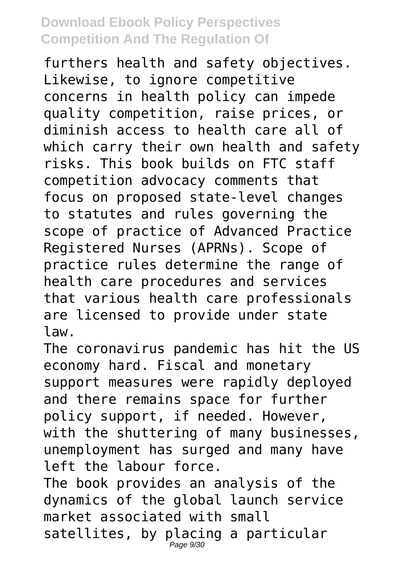furthers health and safety objectives. Likewise, to ignore competitive concerns in health policy can impede quality competition, raise prices, or diminish access to health care all of which carry their own health and safety risks. This book builds on FTC staff competition advocacy comments that focus on proposed state-level changes to statutes and rules governing the scope of practice of Advanced Practice Registered Nurses (APRNs). Scope of practice rules determine the range of health care procedures and services that various health care professionals are licensed to provide under state law.

The coronavirus pandemic has hit the US economy hard. Fiscal and monetary support measures were rapidly deployed and there remains space for further policy support, if needed. However, with the shuttering of many businesses, unemployment has surged and many have left the labour force. The book provides an analysis of the dynamics of the global launch service market associated with small satellites, by placing a particular Page 9/30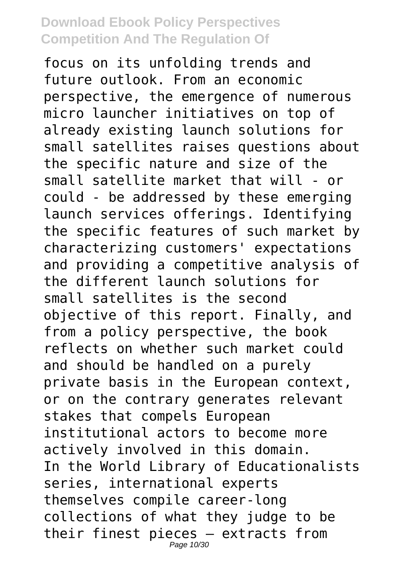focus on its unfolding trends and future outlook. From an economic perspective, the emergence of numerous micro launcher initiatives on top of already existing launch solutions for small satellites raises questions about the specific nature and size of the small satellite market that will - or could - be addressed by these emerging launch services offerings. Identifying the specific features of such market by characterizing customers' expectations and providing a competitive analysis of the different launch solutions for small satellites is the second objective of this report. Finally, and from a policy perspective, the book reflects on whether such market could and should be handled on a purely private basis in the European context, or on the contrary generates relevant stakes that compels European institutional actors to become more actively involved in this domain. In the World Library of Educationalists series, international experts themselves compile career-long collections of what they judge to be their finest pieces – extracts from Page 10/30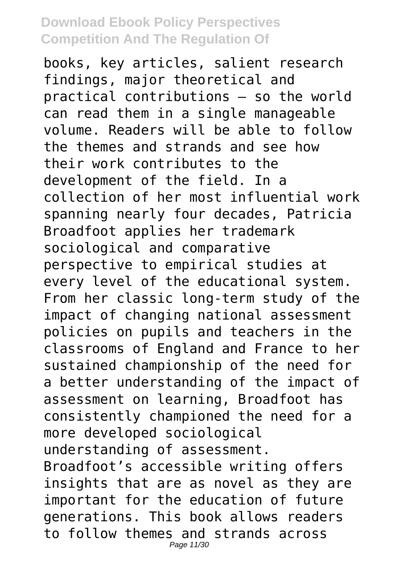books, key articles, salient research findings, major theoretical and practical contributions – so the world can read them in a single manageable volume. Readers will be able to follow the themes and strands and see how their work contributes to the development of the field. In a collection of her most influential work spanning nearly four decades, Patricia Broadfoot applies her trademark sociological and comparative perspective to empirical studies at every level of the educational system. From her classic long-term study of the impact of changing national assessment policies on pupils and teachers in the classrooms of England and France to her sustained championship of the need for a better understanding of the impact of assessment on learning, Broadfoot has consistently championed the need for a more developed sociological understanding of assessment. Broadfoot's accessible writing offers insights that are as novel as they are important for the education of future generations. This book allows readers to follow themes and strands across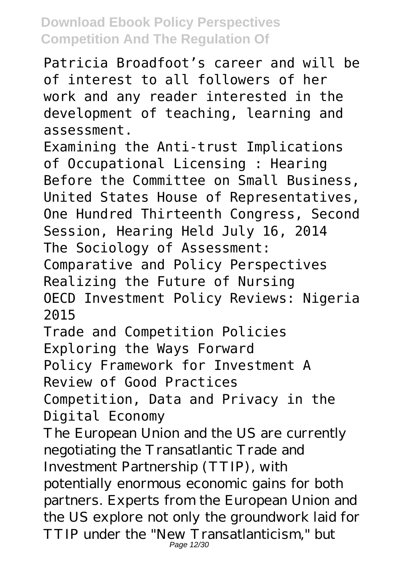Patricia Broadfoot's career and will be of interest to all followers of her work and any reader interested in the development of teaching, learning and assessment.

Examining the Anti-trust Implications of Occupational Licensing : Hearing Before the Committee on Small Business, United States House of Representatives, One Hundred Thirteenth Congress, Second Session, Hearing Held July 16, 2014 The Sociology of Assessment:

Comparative and Policy Perspectives Realizing the Future of Nursing

OECD Investment Policy Reviews: Nigeria 2015

Trade and Competition Policies

Exploring the Ways Forward

Policy Framework for Investment A

Review of Good Practices

Competition, Data and Privacy in the Digital Economy

The European Union and the US are currently negotiating the Transatlantic Trade and Investment Partnership (TTIP), with potentially enormous economic gains for both partners. Experts from the European Union and the US explore not only the groundwork laid for TTIP under the "New Transatlanticism," but Page 12/30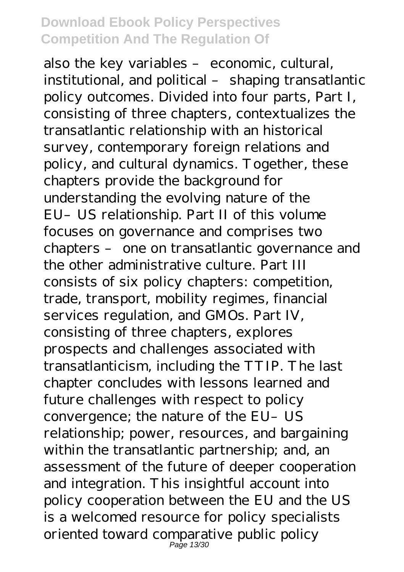also the key variables – economic, cultural, institutional, and political – shaping transatlantic policy outcomes. Divided into four parts, Part I, consisting of three chapters, contextualizes the transatlantic relationship with an historical survey, contemporary foreign relations and policy, and cultural dynamics. Together, these chapters provide the background for understanding the evolving nature of the EU–US relationship. Part II of this volume focuses on governance and comprises two chapters – one on transatlantic governance and the other administrative culture. Part III consists of six policy chapters: competition, trade, transport, mobility regimes, financial services regulation, and GMOs. Part IV, consisting of three chapters, explores prospects and challenges associated with transatlanticism, including the TTIP. The last chapter concludes with lessons learned and future challenges with respect to policy convergence; the nature of the EU-US relationship; power, resources, and bargaining within the transatlantic partnership; and, an assessment of the future of deeper cooperation and integration. This insightful account into policy cooperation between the EU and the US is a welcomed resource for policy specialists oriented toward comparative public policy Page 13/30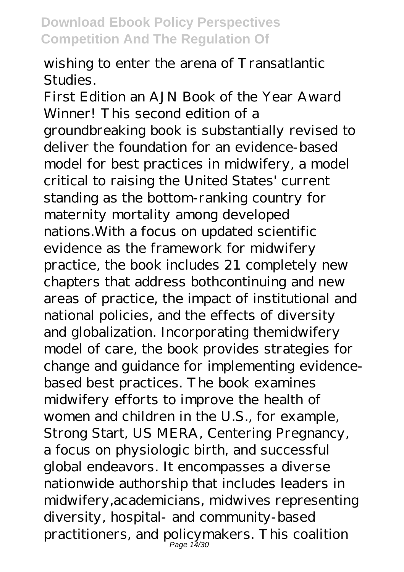wishing to enter the arena of Transatlantic Studies.

First Edition an AJN Book of the Year Award Winner! This second edition of a groundbreaking book is substantially revised to deliver the foundation for an evidence-based model for best practices in midwifery, a model critical to raising the United States' current standing as the bottom-ranking country for maternity mortality among developed nations.With a focus on updated scientific evidence as the framework for midwifery practice, the book includes 21 completely new chapters that address bothcontinuing and new areas of practice, the impact of institutional and national policies, and the effects of diversity and globalization. Incorporating themidwifery model of care, the book provides strategies for change and guidance for implementing evidencebased best practices. The book examines midwifery efforts to improve the health of women and children in the U.S., for example, Strong Start, US MERA, Centering Pregnancy, a focus on physiologic birth, and successful global endeavors. It encompasses a diverse nationwide authorship that includes leaders in midwifery,academicians, midwives representing diversity, hospital- and community-based practitioners, and policymakers. This coalition Page 14/30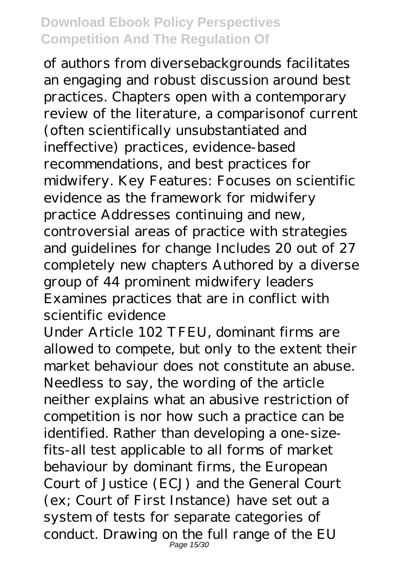of authors from diversebackgrounds facilitates an engaging and robust discussion around best practices. Chapters open with a contemporary review of the literature, a comparisonof current (often scientifically unsubstantiated and ineffective) practices, evidence-based recommendations, and best practices for midwifery. Key Features: Focuses on scientific evidence as the framework for midwifery practice Addresses continuing and new, controversial areas of practice with strategies and guidelines for change Includes 20 out of 27 completely new chapters Authored by a diverse group of 44 prominent midwifery leaders Examines practices that are in conflict with scientific evidence

Under Article 102 TFEU, dominant firms are allowed to compete, but only to the extent their market behaviour does not constitute an abuse. Needless to say, the wording of the article neither explains what an abusive restriction of competition is nor how such a practice can be identified. Rather than developing a one-sizefits-all test applicable to all forms of market behaviour by dominant firms, the European Court of Justice (ECJ) and the General Court (ex; Court of First Instance) have set out a system of tests for separate categories of conduct. Drawing on the full range of the EU Page 15/30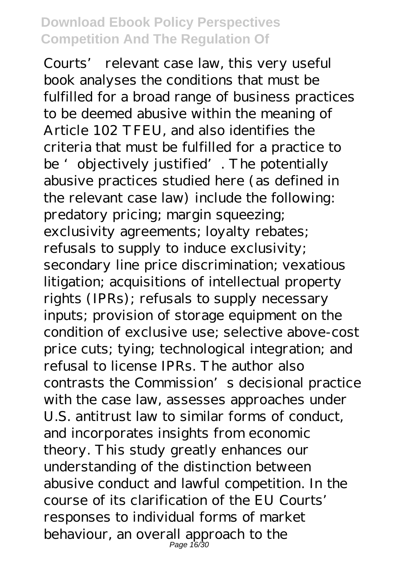Courts' relevant case law, this very useful book analyses the conditions that must be fulfilled for a broad range of business practices to be deemed abusive within the meaning of Article 102 TFEU, and also identifies the criteria that must be fulfilled for a practice to be 'objectively justified'. The potentially abusive practices studied here (as defined in the relevant case law) include the following: predatory pricing; margin squeezing; exclusivity agreements; loyalty rebates; refusals to supply to induce exclusivity; secondary line price discrimination; vexatious litigation; acquisitions of intellectual property rights (IPRs); refusals to supply necessary inputs; provision of storage equipment on the condition of exclusive use; selective above-cost price cuts; tying; technological integration; and refusal to license IPRs. The author also contrasts the Commission's decisional practice with the case law, assesses approaches under U.S. antitrust law to similar forms of conduct, and incorporates insights from economic theory. This study greatly enhances our understanding of the distinction between abusive conduct and lawful competition. In the course of its clarification of the EU Courts' responses to individual forms of market behaviour, an overall approach to the Page 16/30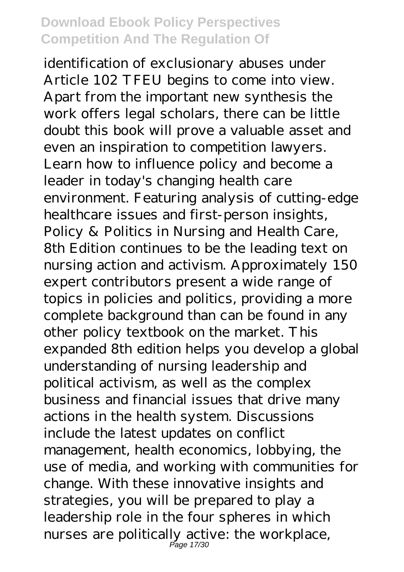identification of exclusionary abuses under Article 102 TFEU begins to come into view. Apart from the important new synthesis the work offers legal scholars, there can be little doubt this book will prove a valuable asset and even an inspiration to competition lawyers. Learn how to influence policy and become a leader in today's changing health care environment. Featuring analysis of cutting-edge healthcare issues and first-person insights, Policy & Politics in Nursing and Health Care, 8th Edition continues to be the leading text on nursing action and activism. Approximately 150 expert contributors present a wide range of topics in policies and politics, providing a more complete background than can be found in any other policy textbook on the market. This expanded 8th edition helps you develop a global understanding of nursing leadership and political activism, as well as the complex business and financial issues that drive many actions in the health system. Discussions include the latest updates on conflict management, health economics, lobbying, the use of media, and working with communities for change. With these innovative insights and strategies, you will be prepared to play a leadership role in the four spheres in which nurses are politically active: the workplace, Page 17/30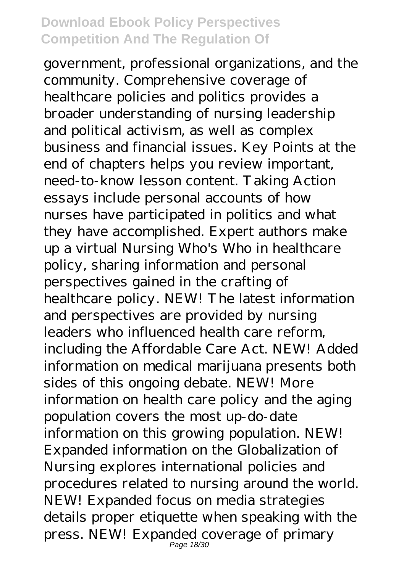government, professional organizations, and the community. Comprehensive coverage of healthcare policies and politics provides a broader understanding of nursing leadership and political activism, as well as complex business and financial issues. Key Points at the end of chapters helps you review important, need-to-know lesson content. Taking Action essays include personal accounts of how nurses have participated in politics and what they have accomplished. Expert authors make up a virtual Nursing Who's Who in healthcare policy, sharing information and personal perspectives gained in the crafting of healthcare policy. NEW! The latest information and perspectives are provided by nursing leaders who influenced health care reform, including the Affordable Care Act. NEW! Added information on medical marijuana presents both sides of this ongoing debate. NEW! More information on health care policy and the aging population covers the most up-do-date information on this growing population. NEW! Expanded information on the Globalization of Nursing explores international policies and procedures related to nursing around the world. NEW! Expanded focus on media strategies details proper etiquette when speaking with the press. NEW! Expanded coverage of primary Page 18/30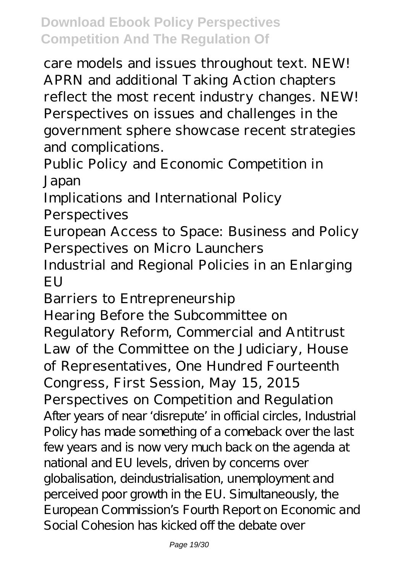care models and issues throughout text. NEW! APRN and additional Taking Action chapters reflect the most recent industry changes. NEW! Perspectives on issues and challenges in the government sphere showcase recent strategies and complications.

Public Policy and Economic Competition in Japan

Implications and International Policy Perspectives

European Access to Space: Business and Policy Perspectives on Micro Launchers

Industrial and Regional Policies in an Enlarging **EU** 

Barriers to Entrepreneurship

Hearing Before the Subcommittee on Regulatory Reform, Commercial and Antitrust Law of the Committee on the Judiciary, House of Representatives, One Hundred Fourteenth Congress, First Session, May 15, 2015 Perspectives on Competition and Regulation After years of near 'disrepute' in official circles, Industrial Policy has made something of a comeback over the last few years and is now very much back on the agenda at national and EU levels, driven by concerns over globalisation, deindustrialisation, unemployment and perceived poor growth in the EU. Simultaneously, the European Commission's Fourth Report on Economic and Social Cohesion has kicked off the debate over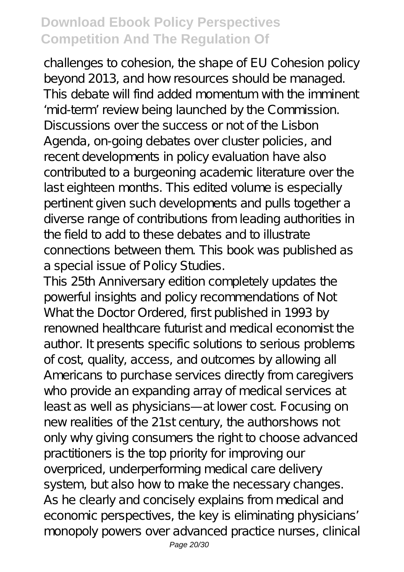challenges to cohesion, the shape of EU Cohesion policy beyond 2013, and how resources should be managed. This debate will find added momentum with the imminent 'mid-term' review being launched by the Commission. Discussions over the success or not of the Lisbon Agenda, on-going debates over cluster policies, and recent developments in policy evaluation have also contributed to a burgeoning academic literature over the last eighteen months. This edited volume is especially pertinent given such developments and pulls together a diverse range of contributions from leading authorities in the field to add to these debates and to illustrate connections between them. This book was published as a special issue of Policy Studies.

This 25th Anniversary edition completely updates the powerful insights and policy recommendations of Not What the Doctor Ordered, first published in 1993 by renowned healthcare futurist and medical economist the author. It presents specific solutions to serious problems of cost, quality, access, and outcomes by allowing all Americans to purchase services directly from caregivers who provide an expanding array of medical services at least as well as physicians—at lower cost. Focusing on new realities of the 21st century, the authorshows not only why giving consumers the right to choose advanced practitioners is the top priority for improving our overpriced, underperforming medical care delivery system, but also how to make the necessary changes. As he clearly and concisely explains from medical and economic perspectives, the key is eliminating physicians' monopoly powers over advanced practice nurses, clinical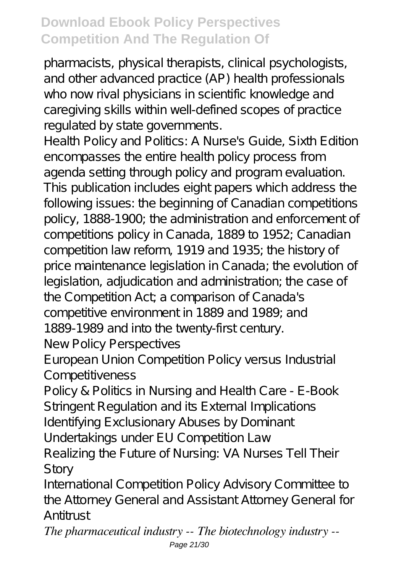pharmacists, physical therapists, clinical psychologists, and other advanced practice (AP) health professionals who now rival physicians in scientific knowledge and caregiving skills within well-defined scopes of practice regulated by state governments.

Health Policy and Politics: A Nurse's Guide, Sixth Edition encompasses the entire health policy process from agenda setting through policy and program evaluation. This publication includes eight papers which address the following issues: the beginning of Canadian competitions policy, 1888-1900; the administration and enforcement of competitions policy in Canada, 1889 to 1952; Canadian competition law reform, 1919 and 1935; the history of price maintenance legislation in Canada; the evolution of legislation, adjudication and administration; the case of the Competition Act; a comparison of Canada's competitive environment in 1889 and 1989; and 1889-1989 and into the twenty-first century. New Policy Perspectives

European Union Competition Policy versus Industrial Competitiveness

Policy & Politics in Nursing and Health Care - E-Book Stringent Regulation and its External Implications Identifying Exclusionary Abuses by Dominant Undertakings under EU Competition Law

Realizing the Future of Nursing: VA Nurses Tell Their Story

International Competition Policy Advisory Committee to the Attorney General and Assistant Attorney General for Antitrust

*The pharmaceutical industry -- The biotechnology industry --* Page 21/30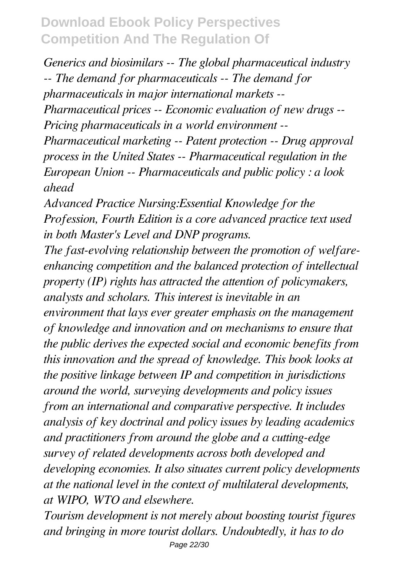*Generics and biosimilars -- The global pharmaceutical industry -- The demand for pharmaceuticals -- The demand for pharmaceuticals in major international markets -- Pharmaceutical prices -- Economic evaluation of new drugs -- Pricing pharmaceuticals in a world environment -- Pharmaceutical marketing -- Patent protection -- Drug approval process in the United States -- Pharmaceutical regulation in the European Union -- Pharmaceuticals and public policy : a look ahead*

*Advanced Practice Nursing:Essential Knowledge for the Profession, Fourth Edition is a core advanced practice text used in both Master's Level and DNP programs.*

*The fast-evolving relationship between the promotion of welfareenhancing competition and the balanced protection of intellectual property (IP) rights has attracted the attention of policymakers, analysts and scholars. This interest is inevitable in an environment that lays ever greater emphasis on the management of knowledge and innovation and on mechanisms to ensure that the public derives the expected social and economic benefits from this innovation and the spread of knowledge. This book looks at the positive linkage between IP and competition in jurisdictions around the world, surveying developments and policy issues from an international and comparative perspective. It includes analysis of key doctrinal and policy issues by leading academics and practitioners from around the globe and a cutting-edge survey of related developments across both developed and developing economies. It also situates current policy developments at the national level in the context of multilateral developments, at WIPO, WTO and elsewhere.*

*Tourism development is not merely about boosting tourist figures and bringing in more tourist dollars. Undoubtedly, it has to do* Page 22/30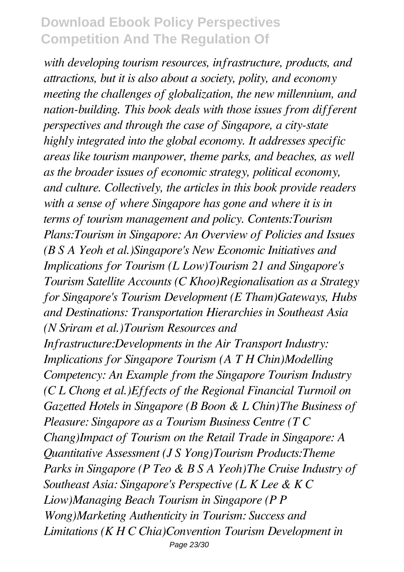*with developing tourism resources, infrastructure, products, and attractions, but it is also about a society, polity, and economy meeting the challenges of globalization, the new millennium, and nation-building. This book deals with those issues from different perspectives and through the case of Singapore, a city-state highly integrated into the global economy. It addresses specific areas like tourism manpower, theme parks, and beaches, as well as the broader issues of economic strategy, political economy, and culture. Collectively, the articles in this book provide readers with a sense of where Singapore has gone and where it is in terms of tourism management and policy. Contents:Tourism Plans:Tourism in Singapore: An Overview of Policies and Issues (B S A Yeoh et al.)Singapore's New Economic Initiatives and Implications for Tourism (L Low)Tourism 21 and Singapore's Tourism Satellite Accounts (C Khoo)Regionalisation as a Strategy for Singapore's Tourism Development (E Tham)Gateways, Hubs and Destinations: Transportation Hierarchies in Southeast Asia (N Sriram et al.)Tourism Resources and Infrastructure:Developments in the Air Transport Industry: Implications for Singapore Tourism (A T H Chin)Modelling Competency: An Example from the Singapore Tourism Industry (C L Chong et al.)Effects of the Regional Financial Turmoil on Gazetted Hotels in Singapore (B Boon & L Chin)The Business of Pleasure: Singapore as a Tourism Business Centre (T C Chang)Impact of Tourism on the Retail Trade in Singapore: A Quantitative Assessment (J S Yong)Tourism Products:Theme Parks in Singapore (P Teo & B S A Yeoh)The Cruise Industry of Southeast Asia: Singapore's Perspective (L K Lee & K C Liow)Managing Beach Tourism in Singapore (P P Wong)Marketing Authenticity in Tourism: Success and Limitations (K H C Chia)Convention Tourism Development in* Page 23/30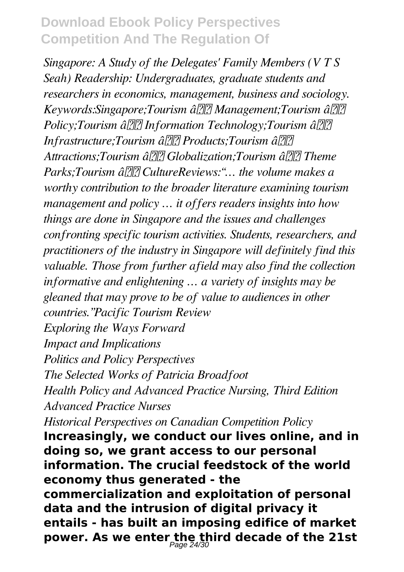*Singapore: A Study of the Delegates' Family Members (V T S Seah) Readership: Undergraduates, graduate students and researchers in economics, management, business and sociology. Keywords:Singapore;Tourism â Management;Tourism â Policy;Tourism â* $\frac{7}{2}$ *Information Technology;Tourism â* $\frac{7}{2}$ *Infrastructure;Tourism â Products;Tourism â Attractions;Tourism â Globalization;Tourism â Theme Parks;Tourism â CultureReviews:"… the volume makes a worthy contribution to the broader literature examining tourism management and policy … it offers readers insights into how things are done in Singapore and the issues and challenges confronting specific tourism activities. Students, researchers, and practitioners of the industry in Singapore will definitely find this valuable. Those from further afield may also find the collection informative and enlightening … a variety of insights may be gleaned that may prove to be of value to audiences in other countries."Pacific Tourism Review Exploring the Ways Forward Impact and Implications Politics and Policy Perspectives The Selected Works of Patricia Broadfoot Health Policy and Advanced Practice Nursing, Third Edition Advanced Practice Nurses Historical Perspectives on Canadian Competition Policy* **Increasingly, we conduct our lives online, and in doing so, we grant access to our personal information. The crucial feedstock of the world economy thus generated - the commercialization and exploitation of personal data and the intrusion of digital privacy it entails - has built an imposing edifice of market power. As we enter the third decade of the 21st** Page 24/30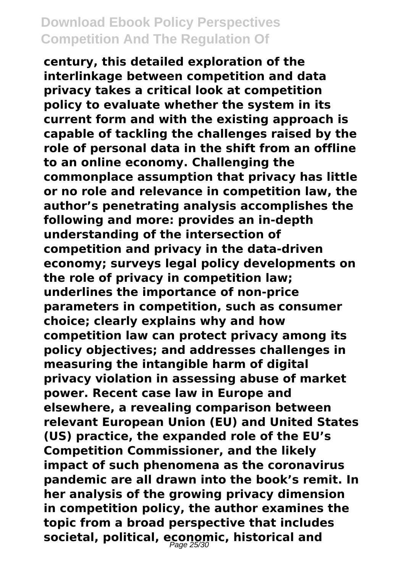**century, this detailed exploration of the interlinkage between competition and data privacy takes a critical look at competition policy to evaluate whether the system in its current form and with the existing approach is capable of tackling the challenges raised by the role of personal data in the shift from an offline to an online economy. Challenging the commonplace assumption that privacy has little or no role and relevance in competition law, the author's penetrating analysis accomplishes the following and more: provides an in-depth understanding of the intersection of competition and privacy in the data-driven economy; surveys legal policy developments on the role of privacy in competition law; underlines the importance of non-price parameters in competition, such as consumer choice; clearly explains why and how competition law can protect privacy among its policy objectives; and addresses challenges in measuring the intangible harm of digital privacy violation in assessing abuse of market power. Recent case law in Europe and elsewhere, a revealing comparison between relevant European Union (EU) and United States (US) practice, the expanded role of the EU's Competition Commissioner, and the likely impact of such phenomena as the coronavirus pandemic are all drawn into the book's remit. In her analysis of the growing privacy dimension in competition policy, the author examines the topic from a broad perspective that includes** societal, political, economic, historical and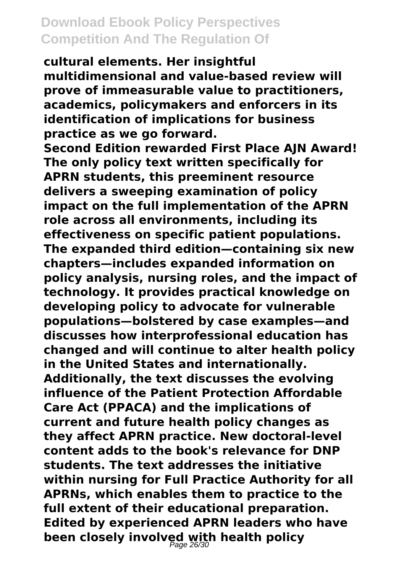**cultural elements. Her insightful multidimensional and value-based review will prove of immeasurable value to practitioners, academics, policymakers and enforcers in its identification of implications for business practice as we go forward.**

**Second Edition rewarded First Place AJN Award! The only policy text written specifically for APRN students, this preeminent resource delivers a sweeping examination of policy impact on the full implementation of the APRN role across all environments, including its effectiveness on specific patient populations. The expanded third edition—containing six new chapters—includes expanded information on policy analysis, nursing roles, and the impact of technology. It provides practical knowledge on developing policy to advocate for vulnerable populations—bolstered by case examples—and discusses how interprofessional education has changed and will continue to alter health policy in the United States and internationally. Additionally, the text discusses the evolving influence of the Patient Protection Affordable Care Act (PPACA) and the implications of current and future health policy changes as they affect APRN practice. New doctoral-level content adds to the book's relevance for DNP students. The text addresses the initiative within nursing for Full Practice Authority for all APRNs, which enables them to practice to the full extent of their educational preparation. Edited by experienced APRN leaders who have been closely involved with health policy** Page 26/30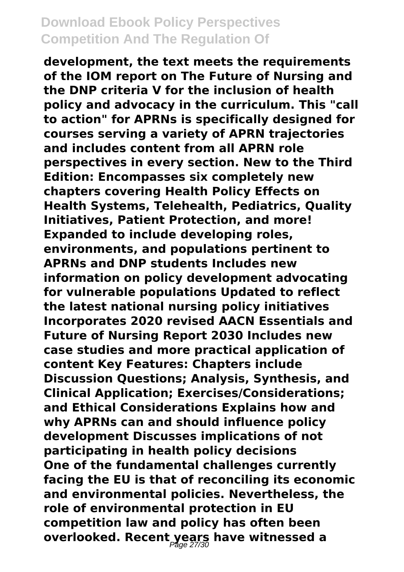**development, the text meets the requirements of the IOM report on The Future of Nursing and the DNP criteria V for the inclusion of health policy and advocacy in the curriculum. This "call to action" for APRNs is specifically designed for courses serving a variety of APRN trajectories and includes content from all APRN role perspectives in every section. New to the Third Edition: Encompasses six completely new chapters covering Health Policy Effects on Health Systems, Telehealth, Pediatrics, Quality Initiatives, Patient Protection, and more! Expanded to include developing roles, environments, and populations pertinent to APRNs and DNP students Includes new information on policy development advocating for vulnerable populations Updated to reflect the latest national nursing policy initiatives Incorporates 2020 revised AACN Essentials and Future of Nursing Report 2030 Includes new case studies and more practical application of content Key Features: Chapters include Discussion Questions; Analysis, Synthesis, and Clinical Application; Exercises/Considerations; and Ethical Considerations Explains how and why APRNs can and should influence policy development Discusses implications of not participating in health policy decisions One of the fundamental challenges currently facing the EU is that of reconciling its economic and environmental policies. Nevertheless, the role of environmental protection in EU competition law and policy has often been overlooked. Recent years have witnessed a** Page 27/30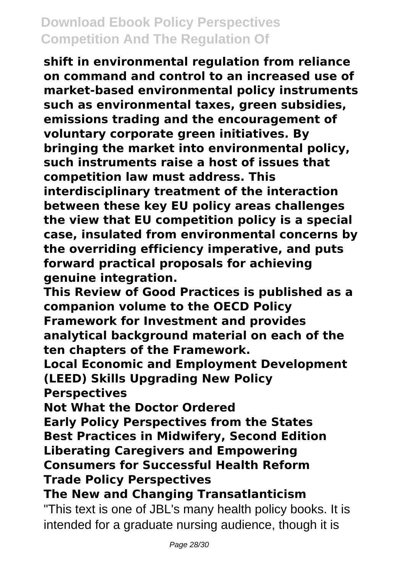**shift in environmental regulation from reliance on command and control to an increased use of market-based environmental policy instruments such as environmental taxes, green subsidies, emissions trading and the encouragement of voluntary corporate green initiatives. By bringing the market into environmental policy, such instruments raise a host of issues that competition law must address. This interdisciplinary treatment of the interaction between these key EU policy areas challenges the view that EU competition policy is a special case, insulated from environmental concerns by the overriding efficiency imperative, and puts forward practical proposals for achieving genuine integration.**

**This Review of Good Practices is published as a companion volume to the OECD Policy Framework for Investment and provides analytical background material on each of the ten chapters of the Framework.**

**Local Economic and Employment Development (LEED) Skills Upgrading New Policy Perspectives**

**Not What the Doctor Ordered**

**Early Policy Perspectives from the States Best Practices in Midwifery, Second Edition Liberating Caregivers and Empowering Consumers for Successful Health Reform Trade Policy Perspectives**

**The New and Changing Transatlanticism**

"This text is one of JBL's many health policy books. It is intended for a graduate nursing audience, though it is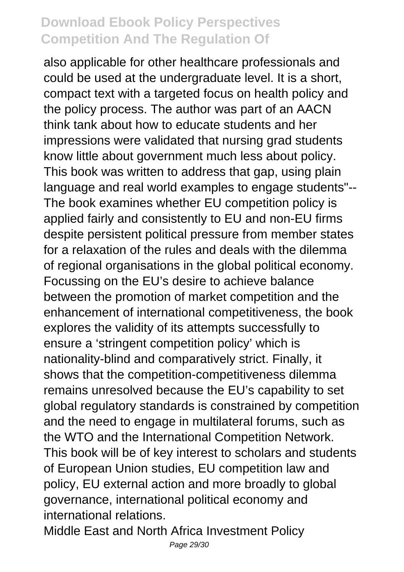also applicable for other healthcare professionals and could be used at the undergraduate level. It is a short, compact text with a targeted focus on health policy and the policy process. The author was part of an AACN think tank about how to educate students and her impressions were validated that nursing grad students know little about government much less about policy. This book was written to address that gap, using plain language and real world examples to engage students"-- The book examines whether EU competition policy is applied fairly and consistently to EU and non-EU firms despite persistent political pressure from member states for a relaxation of the rules and deals with the dilemma of regional organisations in the global political economy. Focussing on the EU's desire to achieve balance between the promotion of market competition and the enhancement of international competitiveness, the book explores the validity of its attempts successfully to ensure a 'stringent competition policy' which is nationality-blind and comparatively strict. Finally, it shows that the competition-competitiveness dilemma remains unresolved because the EU's capability to set global regulatory standards is constrained by competition and the need to engage in multilateral forums, such as the WTO and the International Competition Network. This book will be of key interest to scholars and students of European Union studies, EU competition law and policy, EU external action and more broadly to global governance, international political economy and international relations.

Middle East and North Africa Investment Policy